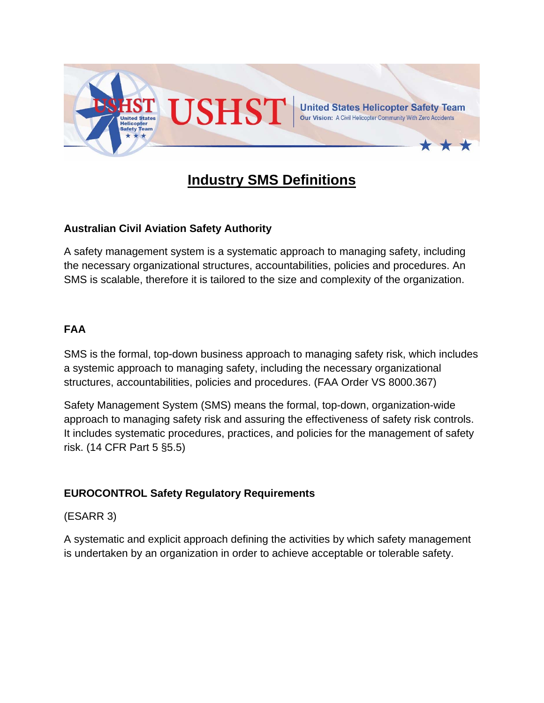

# **Industry SMS Definitions**

# **Australian Civil Aviation Safety Authority**

A safety management system is a systematic approach to managing safety, including the necessary organizational structures, accountabilities, policies and procedures. An SMS is scalable, therefore it is tailored to the size and complexity of the organization.

# **FAA**

SMS is the formal, top-down business approach to managing safety risk, which includes a systemic approach to managing safety, including the necessary organizational structures, accountabilities, policies and procedures. (FAA Order VS 8000.367)

Safety Management System (SMS) means the formal, top-down, organization-wide approach to managing safety risk and assuring the effectiveness of safety risk controls. It includes systematic procedures, practices, and policies for the management of safety risk. (14 CFR Part 5 §5.5)

## **EUROCONTROL Safety Regulatory Requirements**

## (ESARR 3)

A systematic and explicit approach defining the activities by which safety management is undertaken by an organization in order to achieve acceptable or tolerable safety.